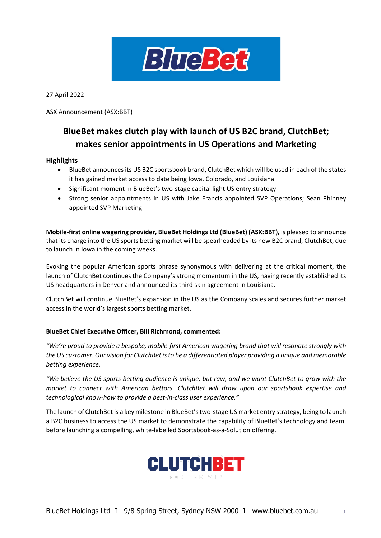

27 April 2022

ASX Announcement (ASX:BBT)

# **BlueBet makes clutch play with launch of US B2C brand, ClutchBet; makes senior appointments in US Operations and Marketing**

#### **Highlights**

- BlueBet announces its US B2C sportsbook brand, ClutchBet which will be used in each of the states it has gained market access to date being Iowa, Colorado, and Louisiana
- Significant moment in BlueBet's two-stage capital light US entry strategy
- Strong senior appointments in US with Jake Francis appointed SVP Operations; Sean Phinney appointed SVP Marketing

**Mobile-first online wagering provider, BlueBet Holdings Ltd (BlueBet) (ASX:BBT),** is pleased to announce that its charge into the US sports betting market will be spearheaded by its new B2C brand, ClutchBet, due to launch in Iowa in the coming weeks.

Evoking the popular American sports phrase synonymous with delivering at the critical moment, the launch of ClutchBet continues the Company's strong momentum in the US, having recently established its US headquarters in Denver and announced its third skin agreement in Louisiana.

ClutchBet will continue BlueBet's expansion in the US as the Company scales and secures further market access in the world's largest sports betting market.

#### **BlueBet Chief Executive Officer, Bill Richmond, commented:**

*"We're proud to provide a bespoke, mobile-first American wagering brand that will resonate strongly with the US customer. Our vision for ClutchBet is to be a differentiated player providing a unique and memorable betting experience.*

*"We believe the US sports betting audience is unique, but raw, and we want ClutchBet to grow with the market to connect with American bettors. ClutchBet will draw upon our sportsbook expertise and technological know-how to provide a best-in-class user experience."*

The launch of ClutchBet is a key milestone in BlueBet's two-stage US market entry strategy, being to launch a B2C business to access the US market to demonstrate the capability of BlueBet's technology and team, before launching a compelling, white-labelled Sportsbook-as-a-Solution offering.

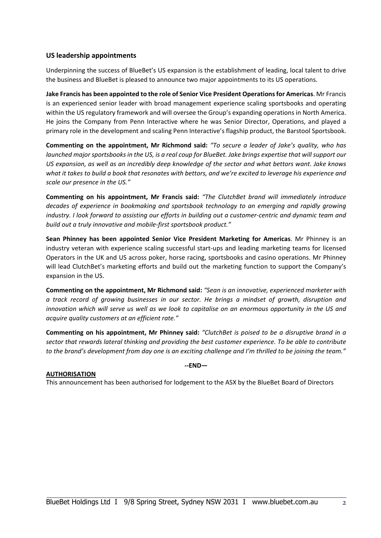## **US leadership appointments**

Underpinning the success of BlueBet's US expansion is the establishment of leading, local talent to drive the business and BlueBet is pleased to announce two major appointments to its US operations.

**Jake Francis has been appointed to the role of Senior Vice President Operationsfor Americas**. Mr Francis is an experienced senior leader with broad management experience scaling sportsbooks and operating within the US regulatory framework and will oversee the Group's expanding operations in North America. He joins the Company from Penn Interactive where he was Senior Director, Operations, and played a primary role in the development and scaling Penn Interactive's flagship product, the Barstool Sportsbook.

**Commenting on the appointment, Mr Richmond said:** *"To secure a leader of Jake's quality, who has launched major sportsbooks in the US, is a real coup for BlueBet. Jake brings expertise that will support our US expansion, as well as an incredibly deep knowledge of the sector and what bettors want. Jake knows what it takes to build a book that resonates with bettors, and we're excited to leverage his experience and scale our presence in the US."*

**Commenting on his appointment, Mr Francis said:** *"The ClutchBet brand will immediately introduce decades of experience in bookmaking and sportsbook technology to an emerging and rapidly growing industry. I look forward to assisting our efforts in building out a customer-centric and dynamic team and build out a truly innovative and mobile-first sportsbook product."* 

**Sean Phinney has been appointed Senior Vice President Marketing for Americas**. Mr Phinney is an industry veteran with experience scaling successful start-ups and leading marketing teams for licensed Operators in the UK and US across poker, horse racing, sportsbooks and casino operations. Mr Phinney will lead ClutchBet's marketing efforts and build out the marketing function to support the Company's expansion in the US.

**Commenting on the appointment, Mr Richmond said:** *"Sean is an innovative, experienced marketer with a track record of growing businesses in our sector. He brings a mindset of growth, disruption and innovation which will serve us well as we look to capitalise on an enormous opportunity in the US and acquire quality customers at an efficient rate."* 

**Commenting on his appointment, Mr Phinney said:** *"ClutchBet is poised to be a disruptive brand in a sector that rewards lateral thinking and providing the best customer experience. To be able to contribute to the brand's development from day one is an exciting challenge and I'm thrilled to be joining the team."*

**--END—** 

### **AUTHORISATION**

This announcement has been authorised for lodgement to the ASX by the BlueBet Board of Directors